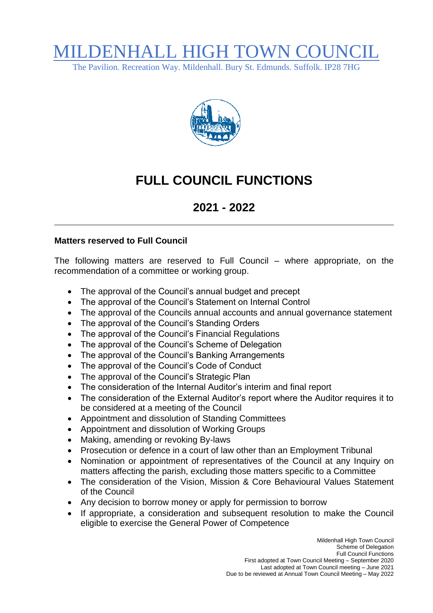## MILDENHALL HIGH TOWN COUI

The Pavilion. Recreation Way. Mildenhall. Bury St. Edmunds. Suffolk. IP28 7HG



## **FULL COUNCIL FUNCTIONS**

## **2021 - 2022**

## **Matters reserved to Full Council**

The following matters are reserved to Full Council – where appropriate, on the recommendation of a committee or working group.

- The approval of the Council's annual budget and precept
- The approval of the Council's Statement on Internal Control
- The approval of the Councils annual accounts and annual governance statement
- The approval of the Council's Standing Orders
- The approval of the Council's Financial Regulations
- The approval of the Council's Scheme of Delegation
- The approval of the Council's Banking Arrangements
- The approval of the Council's Code of Conduct
- The approval of the Council's Strategic Plan
- The consideration of the Internal Auditor's interim and final report
- The consideration of the External Auditor's report where the Auditor requires it to be considered at a meeting of the Council
- Appointment and dissolution of Standing Committees
- Appointment and dissolution of Working Groups
- Making, amending or revoking By-laws
- Prosecution or defence in a court of law other than an Employment Tribunal
- Nomination or appointment of representatives of the Council at any Inquiry on matters affecting the parish, excluding those matters specific to a Committee
- The consideration of the Vision, Mission & Core Behavioural Values Statement of the Council
- Any decision to borrow money or apply for permission to borrow
- If appropriate, a consideration and subsequent resolution to make the Council eligible to exercise the General Power of Competence